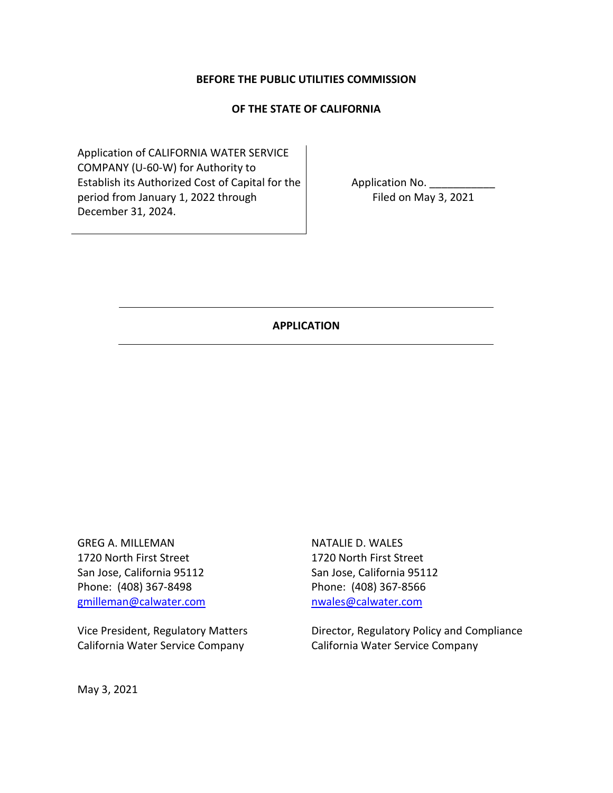#### **BEFORE THE PUBLIC UTILITIES COMMISSION**

#### **OF THE STATE OF CALIFORNIA**

Application of CALIFORNIA WATER SERVICE COMPANY (U-60-W) for Authority to Establish its Authorized Cost of Capital for the period from January 1, 2022 through December 31, 2024.

Application No. Filed on May 3, 2021

#### **APPLICATION**

GREG A. MILLEMAN 1720 North First Street San Jose, California 95112 Phone: (408) 367-8498 gmilleman@calwater.com

Vice President, Regulatory Matters California Water Service Company

NATALIE D. WALES 1720 North First Street San Jose, California 95112 Phone: (408) 367-8566 nwales@calwater.com

Director, Regulatory Policy and Compliance California Water Service Company

May 3, 2021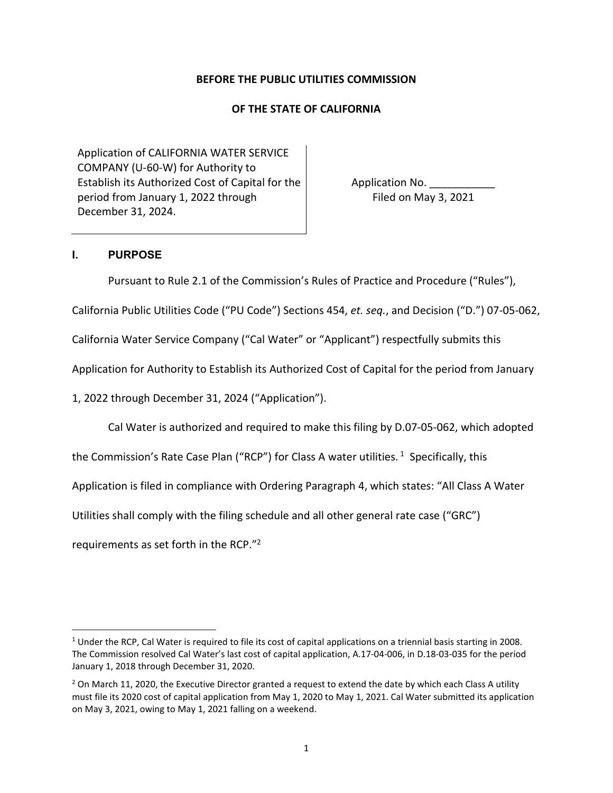#### **BEFORE THE PUBLIC UTILITIES COMMISSION**

#### **OF THE STATE OF CALIFORNIA**

Application of CALIFORNIA WATER SERVICE COMPANY (U-60-W) for Authority to Establish its Authorized Cost of Capital for the period from January 1, 2022 through December 31, 2024.

Application No. Filed on May 3, 2021

#### **I. PURPOSE**

Pursuant to Rule 2.1 of the Commission's Rules of Practice and Procedure ("Rules"),

California Public Utilities Code ("PU Code") Sections 454, *et. seq.*, and Decision ("D.") 07-05-062,

California Water Service Company ("Cal Water" or "Applicant") respectfully submits this

Application for Authority to Establish its Authorized Cost of Capital for the period from January

1, 2022 through December 31, 2024 ("Application").

Cal Water is authorized and required to make this filing by D.07-05-062, which adopted

the Commission's Rate Case Plan ("RCP") for Class A water utilities.<sup>1</sup> Specifically, this

Application is filed in compliance with Ordering Paragraph 4, which states: "All Class A Water

Utilities shall comply with the filing schedule and all other general rate case ("GRC")

requirements as set forth in the RCP."<sup>2</sup>

 $1$  Under the RCP, Cal Water is required to file its cost of capital applications on a triennial basis starting in 2008. The Commission resolved Cal Water's last cost of capital application, A.17-04-006, in D.18-03-035 for the period January 1, 2018 through December 31, 2020.

 $2$  On March 11, 2020, the Executive Director granted a request to extend the date by which each Class A utility must file its 2020 cost of capital application from May 1, 2020 to May 1, 2021. Cal Water submitted its application on May 3, 2021, owing to May 1, 2021 falling on a weekend.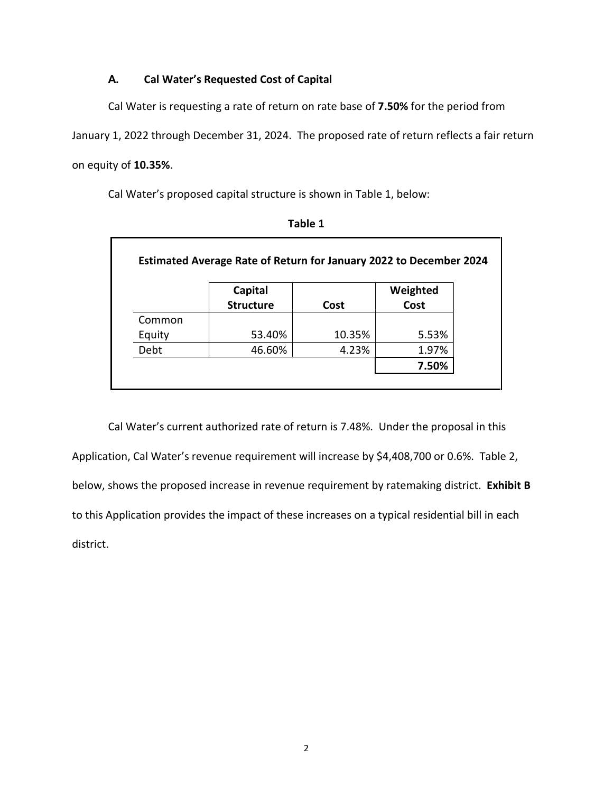### **A. Cal Water's Requested Cost of Capital**

Cal Water is requesting a rate of return on rate base of **7.50%** for the period from

January 1, 2022 through December 31, 2024. The proposed rate of return reflects a fair return on equity of **10.35%**.

Cal Water's proposed capital structure is shown in Table 1, below:

|        | Capital          |        | Weighted |
|--------|------------------|--------|----------|
|        | <b>Structure</b> | Cost   | Cost     |
| Common |                  |        |          |
| Equity | 53.40%           | 10.35% | 5.53%    |
| Debt   | 46.60%           | 4.23%  | 1.97%    |
|        |                  |        | 7.50%    |

**Table 1** 

Cal Water's current authorized rate of return is 7.48%. Under the proposal in this Application, Cal Water's revenue requirement will increase by \$4,408,700 or 0.6%. Table 2, below, shows the proposed increase in revenue requirement by ratemaking district. **Exhibit B** to this Application provides the impact of these increases on a typical residential bill in each district.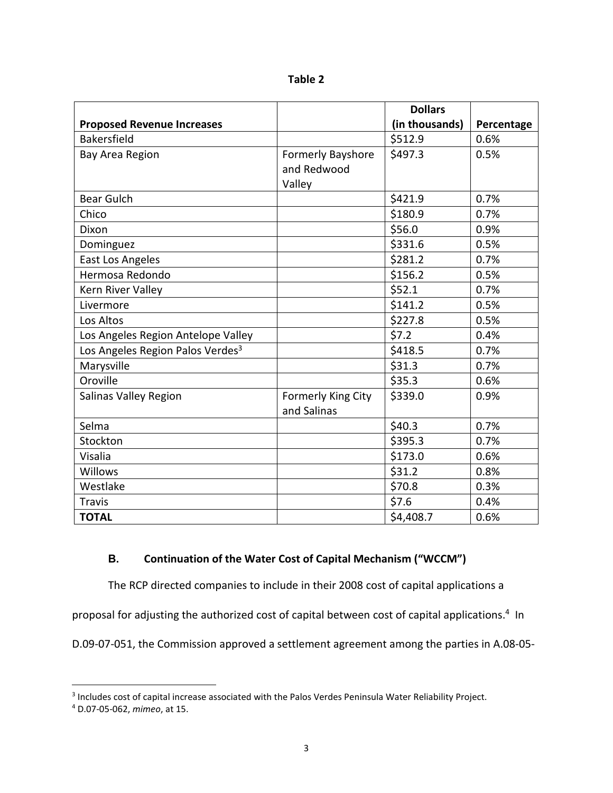| ומו<br>ı<br>н |  |
|---------------|--|
|---------------|--|

|                                              |                          | <b>Dollars</b> |            |
|----------------------------------------------|--------------------------|----------------|------------|
| <b>Proposed Revenue Increases</b>            |                          | (in thousands) | Percentage |
| <b>Bakersfield</b>                           |                          | \$512.9        | 0.6%       |
| Bay Area Region                              | <b>Formerly Bayshore</b> | \$497.3        | 0.5%       |
|                                              | and Redwood              |                |            |
|                                              | Valley                   |                |            |
| <b>Bear Gulch</b>                            |                          | \$421.9        | 0.7%       |
| Chico                                        |                          | \$180.9        | 0.7%       |
| Dixon                                        |                          | \$56.0         | 0.9%       |
| Dominguez                                    |                          | \$331.6        | 0.5%       |
| East Los Angeles                             |                          | \$281.2        | 0.7%       |
| Hermosa Redondo                              |                          | \$156.2        | 0.5%       |
| Kern River Valley                            |                          | \$52.1         | 0.7%       |
| Livermore                                    |                          | \$141.2        | 0.5%       |
| Los Altos                                    |                          | \$227.8        | 0.5%       |
| Los Angeles Region Antelope Valley           |                          | \$7.2          | 0.4%       |
| Los Angeles Region Palos Verdes <sup>3</sup> |                          | \$418.5        | 0.7%       |
| Marysville                                   |                          | \$31.3         | 0.7%       |
| Oroville                                     |                          | \$35.3         | 0.6%       |
| Salinas Valley Region                        | Formerly King City       | \$339.0        | 0.9%       |
|                                              | and Salinas              |                |            |
| Selma                                        |                          | \$40.3         | 0.7%       |
| Stockton                                     |                          | \$395.3        | 0.7%       |
| Visalia                                      |                          | \$173.0        | 0.6%       |
| Willows                                      |                          | \$31.2         | 0.8%       |
| Westlake                                     |                          | \$70.8         | 0.3%       |
| <b>Travis</b>                                |                          | \$7.6          | 0.4%       |
| <b>TOTAL</b>                                 |                          | \$4,408.7      | 0.6%       |

# **B. Continuation of the Water Cost of Capital Mechanism ("WCCM")**

The RCP directed companies to include in their 2008 cost of capital applications a

proposal for adjusting the authorized cost of capital between cost of capital applications.<sup>4</sup> In

D.09-07-051, the Commission approved a settlement agreement among the parties in A.08-05-

<sup>&</sup>lt;sup>3</sup> Includes cost of capital increase associated with the Palos Verdes Peninsula Water Reliability Project.

<sup>4</sup> D.07-05-062, *mimeo*, at 15.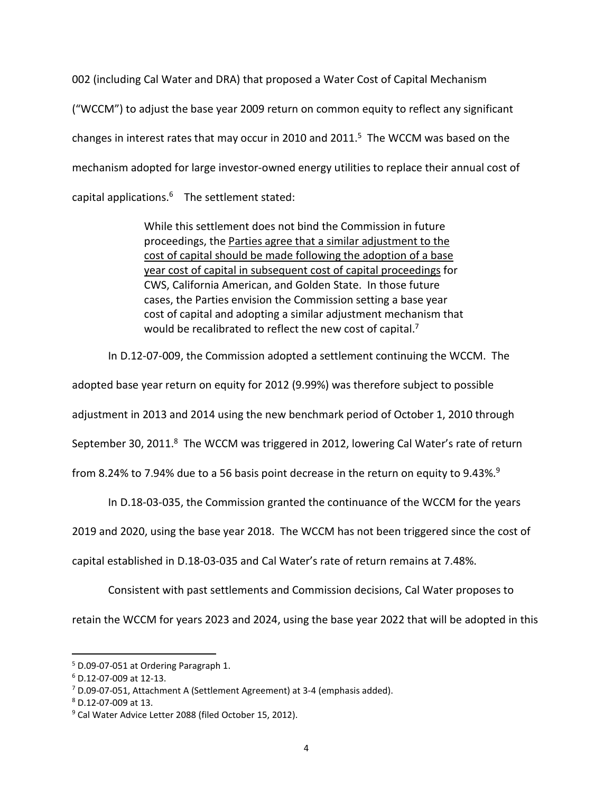002 (including Cal Water and DRA) that proposed a Water Cost of Capital Mechanism ("WCCM") to adjust the base year 2009 return on common equity to reflect any significant changes in interest rates that may occur in 2010 and 2011. $5$  The WCCM was based on the mechanism adopted for large investor-owned energy utilities to replace their annual cost of capital applications.<sup>6</sup> The settlement stated:

> While this settlement does not bind the Commission in future proceedings, the Parties agree that a similar adjustment to the cost of capital should be made following the adoption of a base year cost of capital in subsequent cost of capital proceedings for CWS, California American, and Golden State. In those future cases, the Parties envision the Commission setting a base year cost of capital and adopting a similar adjustment mechanism that would be recalibrated to reflect the new cost of capital.<sup>7</sup>

In D.12-07-009, the Commission adopted a settlement continuing the WCCM. The

adopted base year return on equity for 2012 (9.99%) was therefore subject to possible

adjustment in 2013 and 2014 using the new benchmark period of October 1, 2010 through

September 30, 2011.<sup>8</sup> The WCCM was triggered in 2012, lowering Cal Water's rate of return

from 8.24% to 7.94% due to a 56 basis point decrease in the return on equity to 9.43%.<sup>9</sup>

In D.18-03-035, the Commission granted the continuance of the WCCM for the years

2019 and 2020, using the base year 2018. The WCCM has not been triggered since the cost of

capital established in D.18-03-035 and Cal Water's rate of return remains at 7.48%.

Consistent with past settlements and Commission decisions, Cal Water proposes to

retain the WCCM for years 2023 and 2024, using the base year 2022 that will be adopted in this

<sup>5</sup> D.09-07-051 at Ordering Paragraph 1.

<sup>6</sup> D.12-07-009 at 12-13.

<sup>&</sup>lt;sup>7</sup> D.09-07-051, Attachment A (Settlement Agreement) at 3-4 (emphasis added).

<sup>8</sup> D.12-07-009 at 13.

<sup>&</sup>lt;sup>9</sup> Cal Water Advice Letter 2088 (filed October 15, 2012).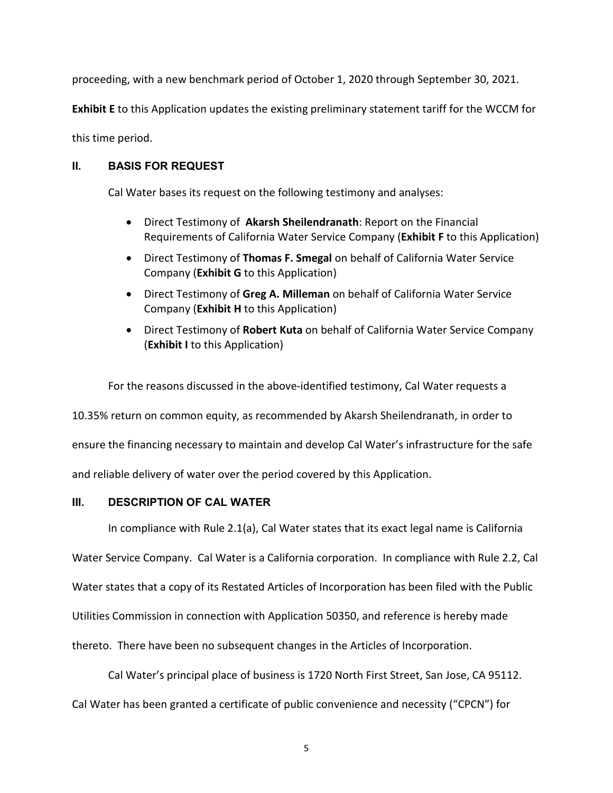proceeding, with a new benchmark period of October 1, 2020 through September 30, 2021.

**Exhibit E** to this Application updates the existing preliminary statement tariff for the WCCM for

this time period.

# **II. BASIS FOR REQUEST**

Cal Water bases its request on the following testimony and analyses:

- Direct Testimony of **Akarsh Sheilendranath**: Report on the Financial Requirements of California Water Service Company (**Exhibit F** to this Application)
- Direct Testimony of **Thomas F. Smegal** on behalf of California Water Service Company (**Exhibit G** to this Application)
- Direct Testimony of **Greg A. Milleman** on behalf of California Water Service Company (**Exhibit H** to this Application)
- Direct Testimony of **Robert Kuta** on behalf of California Water Service Company (**Exhibit I** to this Application)

For the reasons discussed in the above-identified testimony, Cal Water requests a

10.35% return on common equity, as recommended by Akarsh Sheilendranath, in order to

ensure the financing necessary to maintain and develop Cal Water's infrastructure for the safe

and reliable delivery of water over the period covered by this Application.

### **III. DESCRIPTION OF CAL WATER**

In compliance with Rule 2.1(a), Cal Water states that its exact legal name is California

Water Service Company. Cal Water is a California corporation. In compliance with Rule 2.2, Cal

Water states that a copy of its Restated Articles of Incorporation has been filed with the Public

Utilities Commission in connection with Application 50350, and reference is hereby made

thereto. There have been no subsequent changes in the Articles of Incorporation.

Cal Water's principal place of business is 1720 North First Street, San Jose, CA 95112.

Cal Water has been granted a certificate of public convenience and necessity ("CPCN") for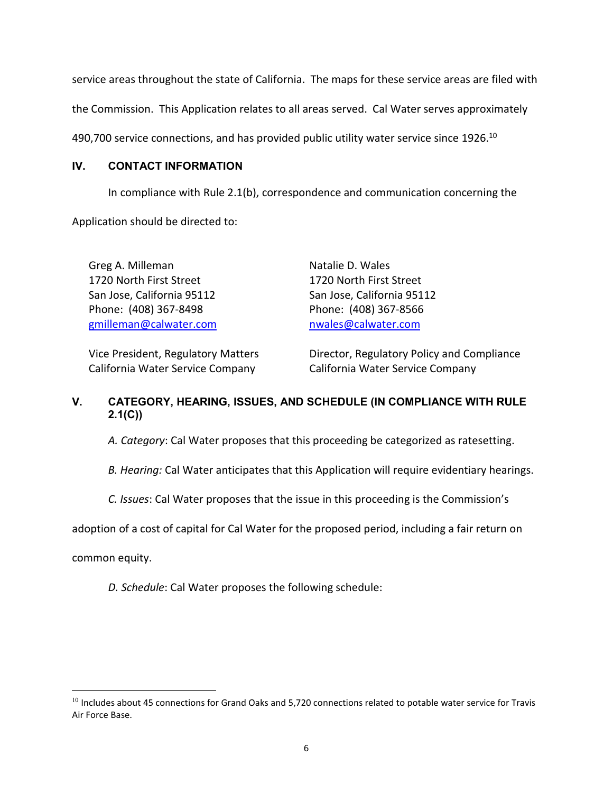service areas throughout the state of California. The maps for these service areas are filed with

the Commission. This Application relates to all areas served. Cal Water serves approximately

490,700 service connections, and has provided public utility water service since 1926.<sup>10</sup>

#### **IV. CONTACT INFORMATION**

In compliance with Rule 2.1(b), correspondence and communication concerning the

Application should be directed to:

Greg A. Milleman 1720 North First Street San Jose, California 95112 Phone: (408) 367-8498 gmilleman@calwater.com Natalie D. Wales 1720 North First Street San Jose, California 95112 Phone: (408) 367-8566 nwales@calwater.com

Vice President, Regulatory Matters California Water Service Company

Director, Regulatory Policy and Compliance California Water Service Company

# **V. CATEGORY, HEARING, ISSUES, AND SCHEDULE (IN COMPLIANCE WITH RULE 2.1(C))**

*A. Category*: Cal Water proposes that this proceeding be categorized as ratesetting.

*B. Hearing:* Cal Water anticipates that this Application will require evidentiary hearings.

*C. Issues*: Cal Water proposes that the issue in this proceeding is the Commission's

adoption of a cost of capital for Cal Water for the proposed period, including a fair return on

common equity.

*D. Schedule*: Cal Water proposes the following schedule:

 $10$  Includes about 45 connections for Grand Oaks and 5,720 connections related to potable water service for Travis Air Force Base.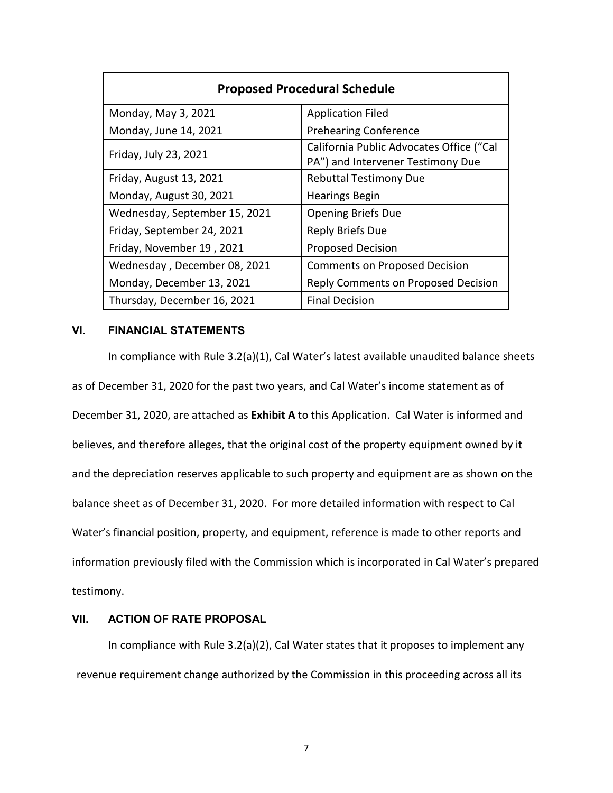| <b>Proposed Procedural Schedule</b> |                                                                               |  |  |
|-------------------------------------|-------------------------------------------------------------------------------|--|--|
| Monday, May 3, 2021                 | <b>Application Filed</b>                                                      |  |  |
| Monday, June 14, 2021               | <b>Prehearing Conference</b>                                                  |  |  |
| Friday, July 23, 2021               | California Public Advocates Office ("Cal<br>PA") and Intervener Testimony Due |  |  |
| Friday, August 13, 2021             | <b>Rebuttal Testimony Due</b>                                                 |  |  |
| Monday, August 30, 2021             | <b>Hearings Begin</b>                                                         |  |  |
| Wednesday, September 15, 2021       | <b>Opening Briefs Due</b>                                                     |  |  |
| Friday, September 24, 2021          | Reply Briefs Due                                                              |  |  |
| Friday, November 19, 2021           | <b>Proposed Decision</b>                                                      |  |  |
| Wednesday, December 08, 2021        | <b>Comments on Proposed Decision</b>                                          |  |  |
| Monday, December 13, 2021           | <b>Reply Comments on Proposed Decision</b>                                    |  |  |
| Thursday, December 16, 2021         | <b>Final Decision</b>                                                         |  |  |

#### **VI. FINANCIAL STATEMENTS**

In compliance with Rule 3.2(a)(1), Cal Water's latest available unaudited balance sheets as of December 31, 2020 for the past two years, and Cal Water's income statement as of December 31, 2020, are attached as **Exhibit A** to this Application. Cal Water is informed and believes, and therefore alleges, that the original cost of the property equipment owned by it and the depreciation reserves applicable to such property and equipment are as shown on the balance sheet as of December 31, 2020. For more detailed information with respect to Cal Water's financial position, property, and equipment, reference is made to other reports and information previously filed with the Commission which is incorporated in Cal Water's prepared testimony.

#### **VII. ACTION OF RATE PROPOSAL**

In compliance with Rule 3.2(a)(2), Cal Water states that it proposes to implement any revenue requirement change authorized by the Commission in this proceeding across all its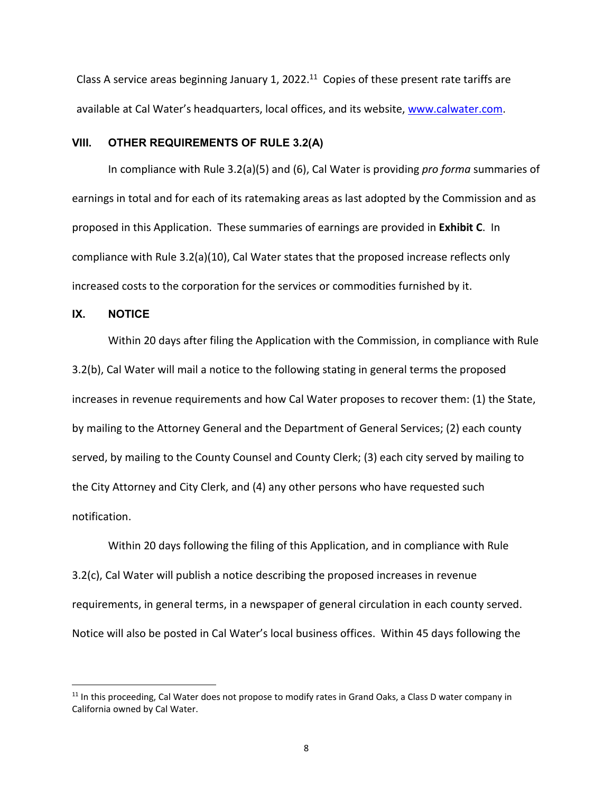Class A service areas beginning January 1, 2022.<sup>11</sup> Copies of these present rate tariffs are available at Cal Water's headquarters, local offices, and its website, www.calwater.com.

#### **VIII. OTHER REQUIREMENTS OF RULE 3.2(A)**

In compliance with Rule 3.2(a)(5) and (6), Cal Water is providing *pro forma* summaries of earnings in total and for each of its ratemaking areas as last adopted by the Commission and as proposed in this Application. These summaries of earnings are provided in **Exhibit C**. In compliance with Rule 3.2(a)(10), Cal Water states that the proposed increase reflects only increased costs to the corporation for the services or commodities furnished by it.

#### **IX. NOTICE**

Within 20 days after filing the Application with the Commission, in compliance with Rule 3.2(b), Cal Water will mail a notice to the following stating in general terms the proposed increases in revenue requirements and how Cal Water proposes to recover them: (1) the State, by mailing to the Attorney General and the Department of General Services; (2) each county served, by mailing to the County Counsel and County Clerk; (3) each city served by mailing to the City Attorney and City Clerk, and (4) any other persons who have requested such notification.

Within 20 days following the filing of this Application, and in compliance with Rule 3.2(c), Cal Water will publish a notice describing the proposed increases in revenue requirements, in general terms, in a newspaper of general circulation in each county served. Notice will also be posted in Cal Water's local business offices. Within 45 days following the

<sup>&</sup>lt;sup>11</sup> In this proceeding, Cal Water does not propose to modify rates in Grand Oaks, a Class D water company in California owned by Cal Water.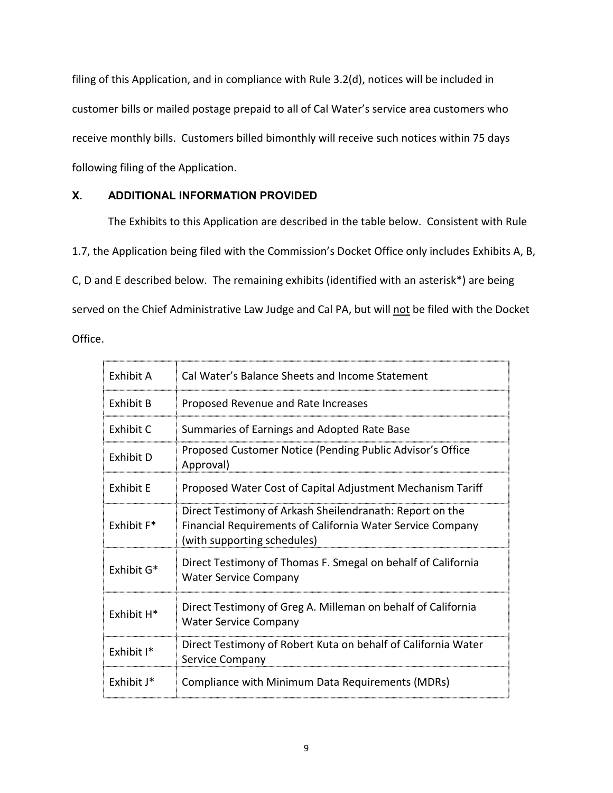filing of this Application, and in compliance with Rule 3.2(d), notices will be included in customer bills or mailed postage prepaid to all of Cal Water's service area customers who receive monthly bills. Customers billed bimonthly will receive such notices within 75 days following filing of the Application.

# **X. ADDITIONAL INFORMATION PROVIDED**

The Exhibits to this Application are described in the table below. Consistent with Rule 1.7, the Application being filed with the Commission's Docket Office only includes Exhibits A, B, C, D and E described below. The remaining exhibits (identified with an asterisk\*) are being served on the Chief Administrative Law Judge and Cal PA, but will not be filed with the Docket

Office.

| Exhibit A              | Cal Water's Balance Sheets and Income Statement                                                                                                       |
|------------------------|-------------------------------------------------------------------------------------------------------------------------------------------------------|
| <b>Exhibit B</b>       | Proposed Revenue and Rate Increases                                                                                                                   |
| Exhibit C              | Summaries of Earnings and Adopted Rate Base                                                                                                           |
| Exhibit D              | Proposed Customer Notice (Pending Public Advisor's Office<br>Approval)                                                                                |
| <b>Exhibit E</b>       | Proposed Water Cost of Capital Adjustment Mechanism Tariff                                                                                            |
| Exhibit F <sup>*</sup> | Direct Testimony of Arkash Sheilendranath: Report on the<br>Financial Requirements of California Water Service Company<br>(with supporting schedules) |
| Exhibit G*             | Direct Testimony of Thomas F. Smegal on behalf of California<br><b>Water Service Company</b>                                                          |
| Exhibit H <sup>*</sup> | Direct Testimony of Greg A. Milleman on behalf of California<br><b>Water Service Company</b>                                                          |
| Exhibit I*             | Direct Testimony of Robert Kuta on behalf of California Water<br>Service Company                                                                      |
| Exhibit J*             | Compliance with Minimum Data Requirements (MDRs)                                                                                                      |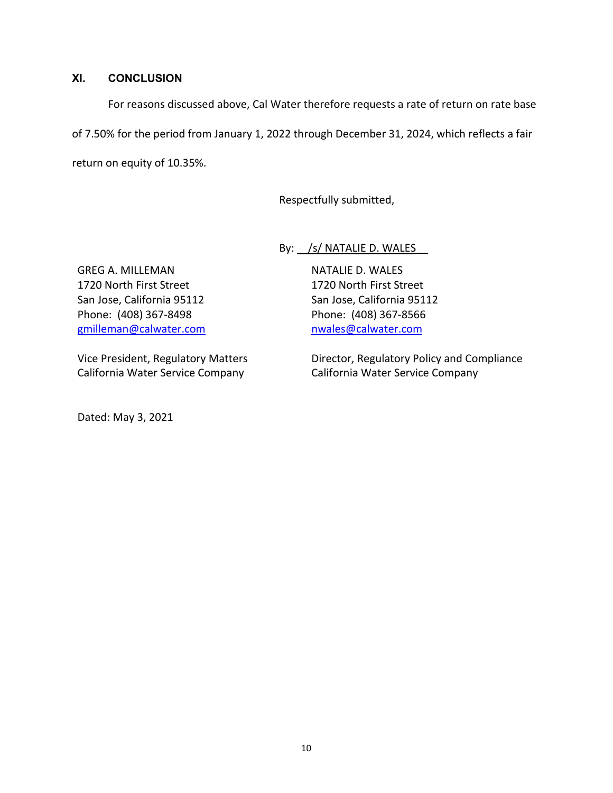### **XI. CONCLUSION**

For reasons discussed above, Cal Water therefore requests a rate of return on rate base of 7.50% for the period from January 1, 2022 through December 31, 2024, which reflects a fair return on equity of 10.35%.

Respectfully submitted,

By: <u>/s/ NATALIE D. WALES</u>

NATALIE D. WALES 1720 North First Street San Jose, California 95112 Phone: (408) 367-8566 nwales@calwater.com

GREG A. MILLEMAN 1720 North First Street San Jose, California 95112 Phone: (408) 367-8498 gmilleman@calwater.com

Vice President, Regulatory Matters California Water Service Company

Director, Regulatory Policy and Compliance California Water Service Company

Dated: May 3, 2021